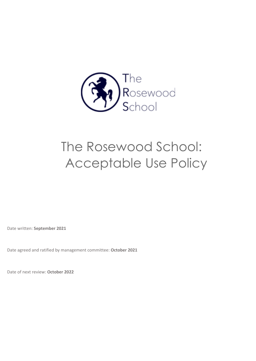

## The Rosewood School: Acceptable Use Policy

Date written: **September 2021**

Date agreed and ratified by management committee: **October 2021**

Date of next review: **October 2022**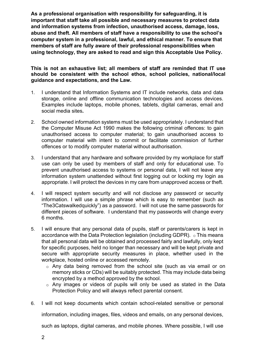**As a professional organisation with responsibility for safeguarding, it is important that staff take all possible and necessary measures to protect data and information systems from infection, unauthorised access, damage, loss, abuse and theft. All members of staff have a responsibility to use the school's computer system in a professional, lawful, and ethical manner. To ensure that members of staff are fully aware of their professional responsibilities when using technology, they are asked to read and sign this Acceptable Use Policy.** 

**This is not an exhaustive list; all members of staff are reminded that IT use should be consistent with the school ethos, school policies, national/local guidance and expectations, and the Law.** 

- 1. I understand that Information Systems and IT include networks, data and data storage, online and offline communication technologies and access devices. Examples include laptops, mobile phones, tablets, digital cameras, email and social media sites**.**
- 2. School owned information systems must be used appropriately. I understand that the Computer Misuse Act 1990 makes the following criminal offences: to gain unauthorised access to computer material; to gain unauthorised access to computer material with intent to commit or facilitate commission of further offences or to modify computer material without authorisation.
- 3. I understand that any hardware and software provided by my workplace for staff use can only be used by members of staff and only for educational use. To prevent unauthorised access to systems or personal data, I will not leave any information system unattended without first logging out or locking my login as appropriate. I will protect the devices in my care from unapproved access or theft.
- 4. I will respect system security and will not disclose any password or security information. I will use a simple phrase which is easy to remember (such as "The3Catswalkedquickly") as a password. I will not use the same passwords for different pieces of software. I understand that my passwords will change every 6 months.
- 5. I will ensure that any personal data of pupils, staff or parents/carers is kept in accordance with the Data Protection legislation (including GDPR).  $\circ$  This means that all personal data will be obtained and processed fairly and lawfully, only kept for specific purposes, held no longer than necessary and will be kept private and secure with appropriate security measures in place, whether used in the workplace, hosted online or accessed remotely.
	- o Any data being removed from the school site (such as via email or on memory sticks or CDs) will be suitably protected. This may include data being encrypted by a method approved by the school.
	- o Any images or videos of pupils will only be used as stated in the Data Protection Policy and will always reflect parental consent.
- 6. I will not keep documents which contain school-related sensitive or personal information, including images, files, videos and emails, on any personal devices, such as laptops, digital cameras, and mobile phones. Where possible, I will use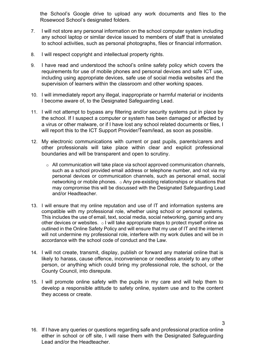the School's Google drive to upload any work documents and files to the Rosewood School's designated folders.

- 7. I will not store any personal information on the school computer system including any school laptop or similar device issued to members of staff that is unrelated to school activities, such as personal photographs, files or financial information.
- 8. I will respect copyright and intellectual property rights.
- 9. I have read and understood the school's online safety policy which covers the requirements for use of mobile phones and personal devices and safe ICT use, including using appropriate devices, safe use of social media websites and the supervision of learners within the classroom and other working spaces.
- 10. I will immediately report any illegal, inappropriate or harmful material or incidents I become aware of, to the Designated Safeguarding Lead.
- 11. I will not attempt to bypass any filtering and/or security systems put in place by the school. If I suspect a computer or system has been damaged or affected by a virus or other malware, or if I have lost any school related documents or files, I will report this to the ICT Support Provider/Team/lead, as soon as possible.
- 12. My electronic communications with current or past pupils, parents/carers and other professionals will take place within clear and explicit professional boundaries and will be transparent and open to scrutiny.
	- o All communication will take place via school approved communication channels, such as a school provided email address or telephone number, and not via my personal devices or communication channels, such as personal email, social networking or mobile phones. o Any pre-existing relationships or situations that may compromise this will be discussed with the Designated Safeguarding Lead and/or Headteacher.
- 13. I will ensure that my online reputation and use of IT and information systems are compatible with my professional role, whether using school or personal systems. This includes the use of email, text, social media, social networking, gaming and any other devices or websites. o I will take appropriate steps to protect myself online as outlined in the Online Safety Policy and will ensure that my use of IT and the internet will not undermine my professional role, interfere with my work duties and will be in accordance with the school code of conduct and the Law.
- 14. I will not create, transmit, display, publish or forward any material online that is likely to harass, cause offence, inconvenience or needless anxiety to any other person, or anything which could bring my professional role, the school, or the County Council, into disrepute.
- 15. I will promote online safety with the pupils in my care and will help them to develop a responsible attitude to safety online, system use and to the content they access or create.
- 16. If I have any queries or questions regarding safe and professional practice online either in school or off site, I will raise them with the Designated Safeguarding Lead and/or the Headteacher.